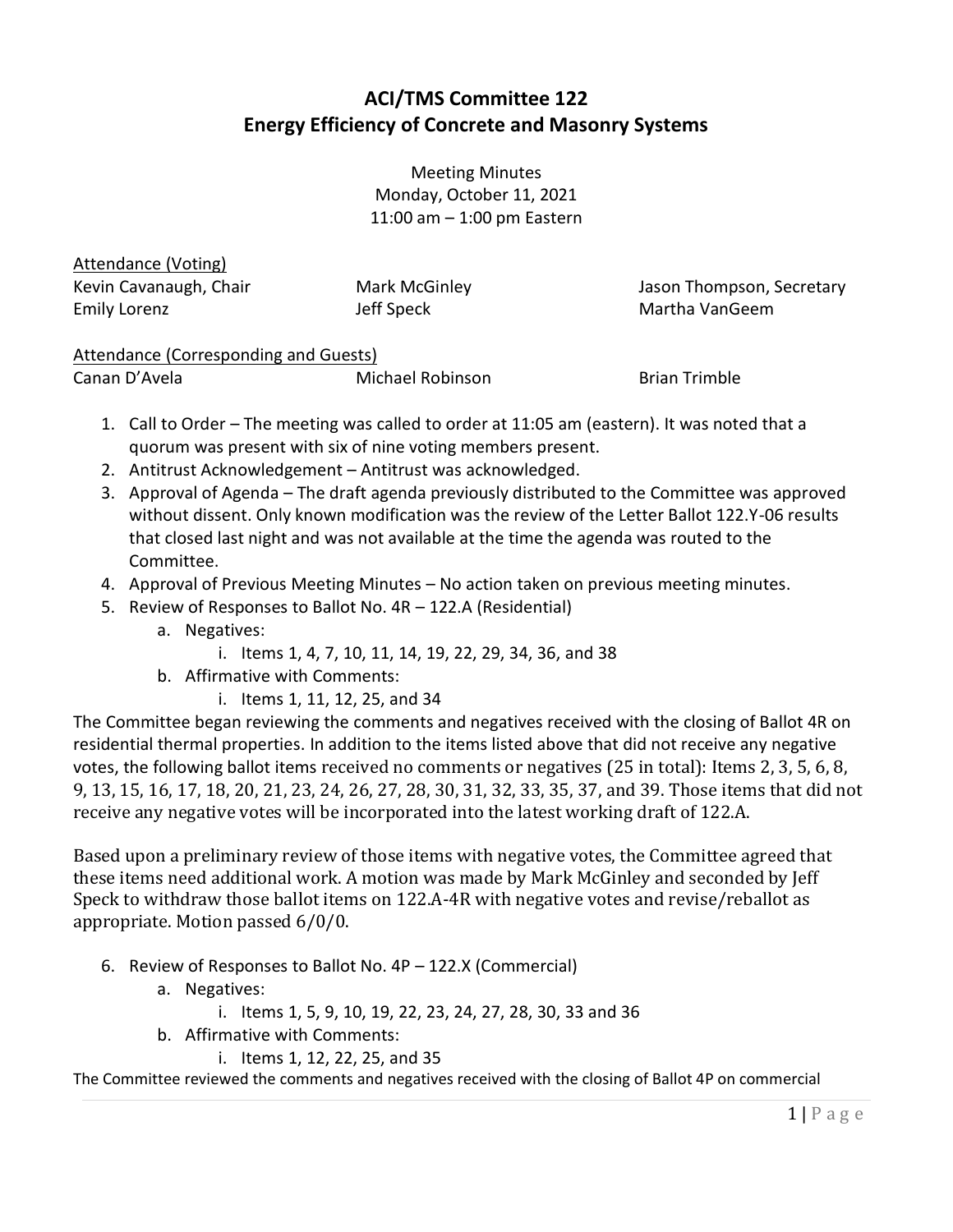## **ACI/TMS Committee 122 Energy Efficiency of Concrete and Masonry Systems**

Meeting Minutes Monday, October 11, 2021 11:00 am – 1:00 pm Eastern

## Attendance (Voting)

Kevin Cavanaugh, Chair Emily Lorenz

Mark McGinley Jeff Speck

Jason Thompson, Secretary Martha VanGeem

## Attendance (Corresponding and Guests)

Canan D'Avela **Michael Robinson** Brian Trimble

- 1. Call to Order The meeting was called to order at 11:05 am (eastern). It was noted that a quorum was present with six of nine voting members present.
- 2. Antitrust Acknowledgement Antitrust was acknowledged.
- 3. Approval of Agenda The draft agenda previously distributed to the Committee was approved without dissent. Only known modification was the review of the Letter Ballot 122.Y-06 results that closed last night and was not available at the time the agenda was routed to the Committee.
- 4. Approval of Previous Meeting Minutes No action taken on previous meeting minutes.
- 5. Review of Responses to Ballot No. 4R 122.A (Residential)
	- a. Negatives:
		- i. Items 1, 4, 7, 10, 11, 14, 19, 22, 29, 34, 36, and 38
	- b. Affirmative with Comments:
		- i. Items 1, 11, 12, 25, and 34

The Committee began reviewing the comments and negatives received with the closing of Ballot 4R on residential thermal properties. In addition to the items listed above that did not receive any negative votes, the following ballot items received no comments or negatives (25 in total): Items 2, 3, 5, 6, 8, 9, 13, 15, 16, 17, 18, 20, 21, 23, 24, 26, 27, 28, 30, 31, 32, 33, 35, 37, and 39. Those items that did not receive any negative votes will be incorporated into the latest working draft of 122.A.

Based upon a preliminary review of those items with negative votes, the Committee agreed that these items need additional work. A motion was made by Mark McGinley and seconded by Jeff Speck to withdraw those ballot items on 122.A-4R with negative votes and revise/reballot as appropriate. Motion passed 6/0/0.

- 6. Review of Responses to Ballot No. 4P 122.X (Commercial)
	- a. Negatives:
		- i. Items 1, 5, 9, 10, 19, 22, 23, 24, 27, 28, 30, 33 and 36
	- b. Affirmative with Comments:
		- i. Items 1, 12, 22, 25, and 35

The Committee reviewed the comments and negatives received with the closing of Ballot 4P on commercial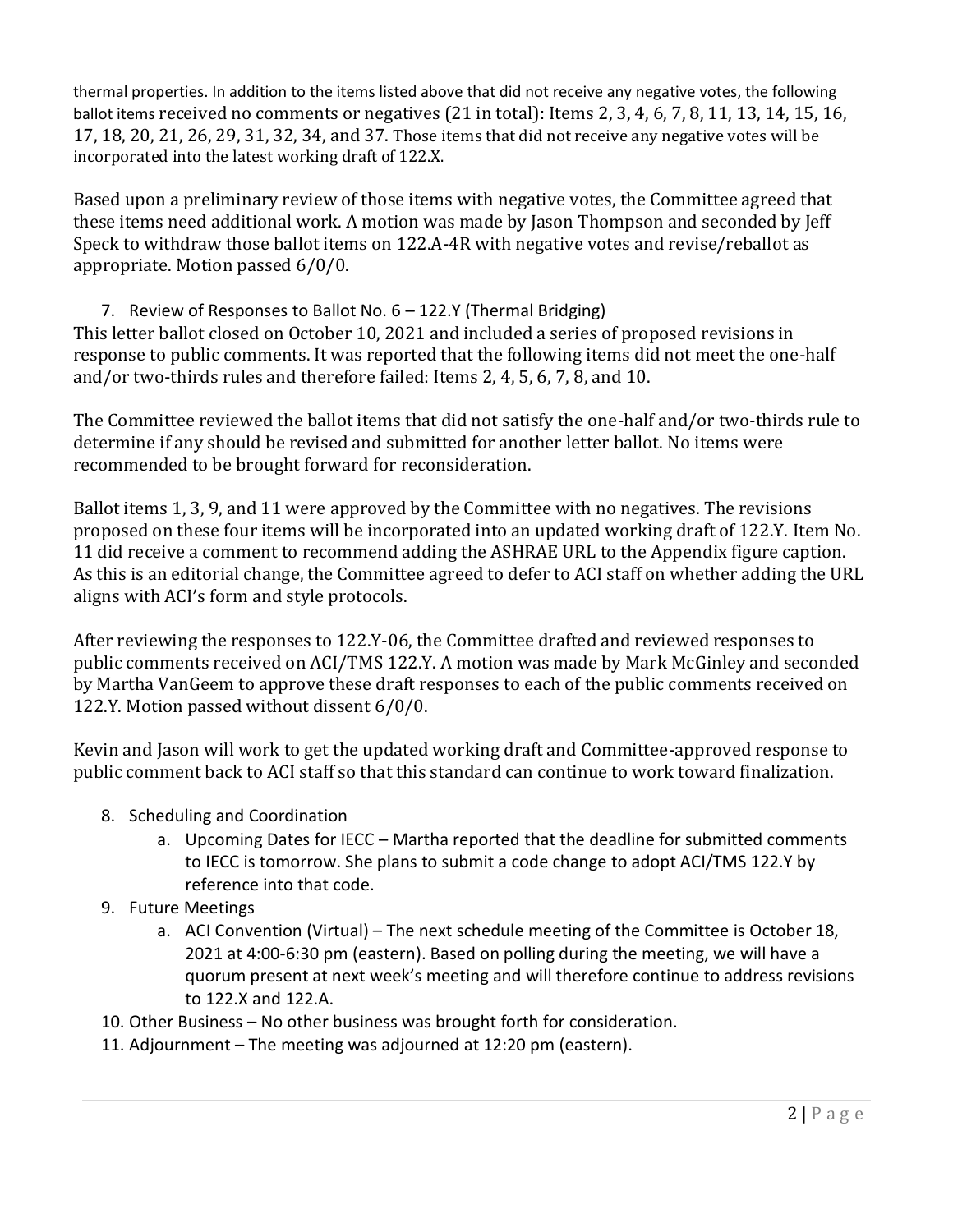thermal properties. In addition to the items listed above that did not receive any negative votes, the following ballot items received no comments or negatives (21 in total): Items 2, 3, 4, 6, 7, 8, 11, 13, 14, 15, 16, 17, 18, 20, 21, 26, 29, 31, 32, 34, and 37. Those items that did not receive any negative votes will be incorporated into the latest working draft of 122.X.

Based upon a preliminary review of those items with negative votes, the Committee agreed that these items need additional work. A motion was made by Jason Thompson and seconded by Jeff Speck to withdraw those ballot items on 122.A-4R with negative votes and revise/reballot as appropriate. Motion passed 6/0/0.

7. Review of Responses to Ballot No. 6 – 122.Y (Thermal Bridging) This letter ballot closed on October 10, 2021 and included a series of proposed revisions in response to public comments. It was reported that the following items did not meet the one-half and/or two-thirds rules and therefore failed: Items 2, 4, 5, 6, 7, 8, and 10.

The Committee reviewed the ballot items that did not satisfy the one-half and/or two-thirds rule to determine if any should be revised and submitted for another letter ballot. No items were recommended to be brought forward for reconsideration.

Ballot items 1, 3, 9, and 11 were approved by the Committee with no negatives. The revisions proposed on these four items will be incorporated into an updated working draft of 122.Y. Item No. 11 did receive a comment to recommend adding the ASHRAE URL to the Appendix figure caption. As this is an editorial change, the Committee agreed to defer to ACI staff on whether adding the URL aligns with ACI's form and style protocols.

After reviewing the responses to 122.Y-06, the Committee drafted and reviewed responses to public comments received on ACI/TMS 122.Y. A motion was made by Mark McGinley and seconded by Martha VanGeem to approve these draft responses to each of the public comments received on 122.Y. Motion passed without dissent 6/0/0.

Kevin and Jason will work to get the updated working draft and Committee-approved response to public comment back to ACI staff so that this standard can continue to work toward finalization.

- 8. Scheduling and Coordination
	- a. Upcoming Dates for IECC Martha reported that the deadline for submitted comments to IECC is tomorrow. She plans to submit a code change to adopt ACI/TMS 122.Y by reference into that code.
- 9. Future Meetings
	- a. ACI Convention (Virtual) The next schedule meeting of the Committee is October 18, 2021 at 4:00-6:30 pm (eastern). Based on polling during the meeting, we will have a quorum present at next week's meeting and will therefore continue to address revisions to 122.X and 122.A.
- 10. Other Business No other business was brought forth for consideration.
- 11. Adjournment The meeting was adjourned at 12:20 pm (eastern).